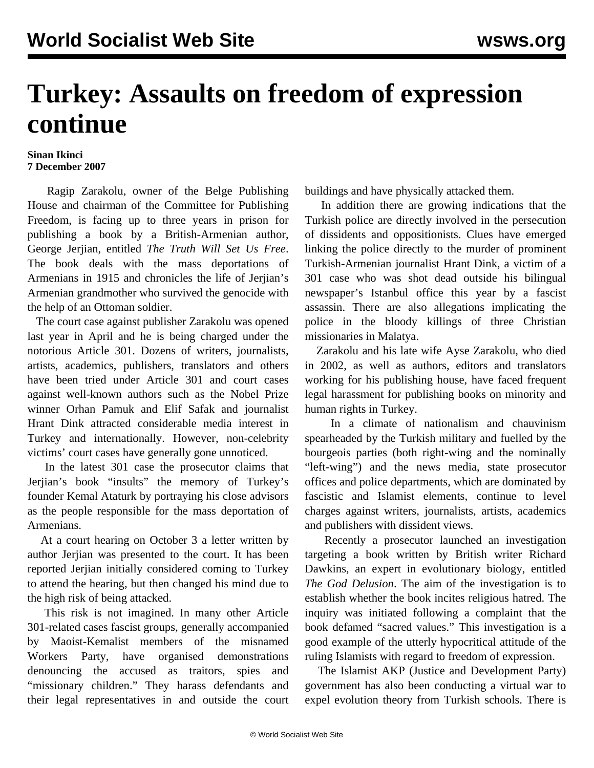## **Turkey: Assaults on freedom of expression continue**

## **Sinan Ikinci 7 December 2007**

 Ragip Zarakolu, owner of the Belge Publishing House and chairman of the Committee for Publishing Freedom, is facing up to three years in prison for publishing a book by a British-Armenian author, George Jerjian, entitled *The Truth Will Set Us Free*. The book deals with the mass deportations of Armenians in 1915 and chronicles the life of Jerjian's Armenian grandmother who survived the genocide with the help of an Ottoman soldier.

 The court case against publisher Zarakolu was opened last year in April and he is being charged under the notorious Article 301. Dozens of writers, journalists, artists, academics, publishers, translators and others have been tried under Article 301 and court cases against well-known authors such as the Nobel Prize winner Orhan Pamuk and Elif Safak and journalist Hrant Dink attracted considerable media interest in Turkey and internationally. However, non-celebrity victims' court cases have generally gone unnoticed.

 In the latest 301 case the prosecutor claims that Jerjian's book "insults" the memory of Turkey's founder Kemal Ataturk by portraying his close advisors as the people responsible for the mass deportation of Armenians.

 At a court hearing on October 3 a letter written by author Jerjian was presented to the court. It has been reported Jerjian initially considered coming to Turkey to attend the hearing, but then changed his mind due to the high risk of being attacked.

 This risk is not imagined. In many other Article 301-related cases fascist groups, generally accompanied by Maoist-Kemalist members of the misnamed Workers Party, have organised demonstrations denouncing the accused as traitors, spies and "missionary children." They harass defendants and their legal representatives in and outside the court buildings and have physically attacked them.

 In addition there are growing indications that the Turkish police are directly involved in the persecution of dissidents and oppositionists. Clues have emerged linking the police directly to the murder of prominent Turkish-Armenian journalist Hrant Dink, a victim of a 301 case who was shot dead outside his bilingual newspaper's Istanbul office this year by a fascist assassin. There are also allegations implicating the police in the bloody killings of three Christian missionaries in Malatya.

 Zarakolu and his late wife Ayse Zarakolu, who died in 2002, as well as authors, editors and translators working for his publishing house, have faced frequent legal harassment for publishing books on minority and human rights in Turkey.

 In a climate of nationalism and chauvinism spearheaded by the Turkish military and fuelled by the bourgeois parties (both right-wing and the nominally "left-wing") and the news media, state prosecutor offices and police departments, which are dominated by fascistic and Islamist elements, continue to level charges against writers, journalists, artists, academics and publishers with dissident views.

 Recently a prosecutor launched an investigation targeting a book written by British writer Richard Dawkins, an expert in evolutionary biology, entitled *The God Delusion*. The aim of the investigation is to establish whether the book incites religious hatred. The inquiry was initiated following a complaint that the book defamed "sacred values." This investigation is a good example of the utterly hypocritical attitude of the ruling Islamists with regard to freedom of expression.

 The Islamist AKP (Justice and Development Party) government has also been conducting a virtual war to expel evolution theory from Turkish schools. There is